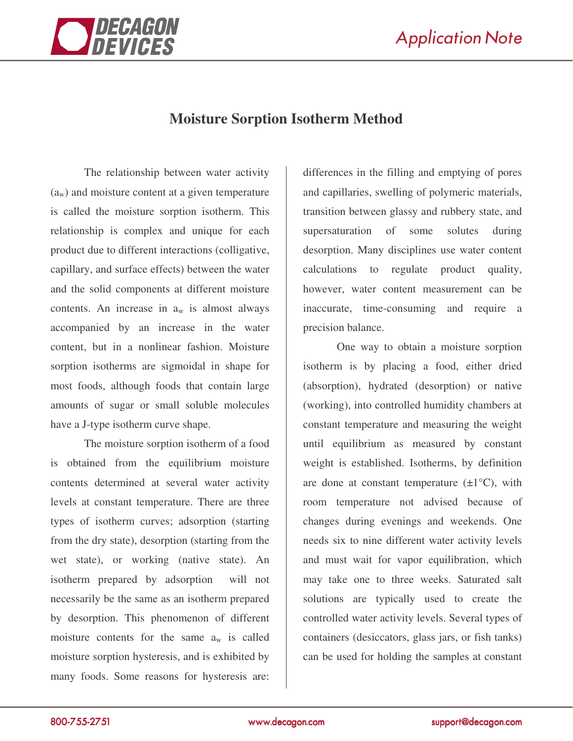

## **Moisture Sorption Isotherm Method**

The relationship between water activity  $(a_w)$  and moisture content at a given temperature is called the moisture sorption isotherm. This relationship is complex and unique for each product due to different interactions (colligative, capillary, and surface effects) between the water and the solid components at different moisture contents. An increase in  $a_w$  is almost always accompanied by an increase in the water content, but in a nonlinear fashion. Moisture sorption isotherms are sigmoidal in shape for most foods, although foods that contain large amounts of sugar or small soluble molecules have a J-type isotherm curve shape.

The moisture sorption isotherm of a food is obtained from the equilibrium moisture contents determined at several water activity levels at constant temperature. There are three types of isotherm curves; adsorption (starting from the dry state), desorption (starting from the wet state), or working (native state). An isotherm prepared by adsorption will not necessarily be the same as an isotherm prepared by desorption. This phenomenon of different moisture contents for the same  $a_w$  is called moisture sorption hysteresis, and is exhibited by many foods. Some reasons for hysteresis are:

differences in the filling and emptying of pores and capillaries, swelling of polymeric materials, transition between glassy and rubbery state, and supersaturation of some solutes during desorption. Many disciplines use water content calculations to regulate product quality, however, water content measurement can be inaccurate, time-consuming and require a precision balance.

One way to obtain a moisture sorption isotherm is by placing a food, either dried (absorption), hydrated (desorption) or native (working), into controlled humidity chambers at constant temperature and measuring the weight until equilibrium as measured by constant weight is established. Isotherms, by definition are done at constant temperature  $(\pm 1^{\circ}C)$ , with room temperature not advised because of changes during evenings and weekends. One needs six to nine different water activity levels and must wait for vapor equilibration, which may take one to three weeks. Saturated salt solutions are typically used to create the controlled water activity levels. Several types of containers (desiccators, glass jars, or fish tanks) can be used for holding the samples at constant